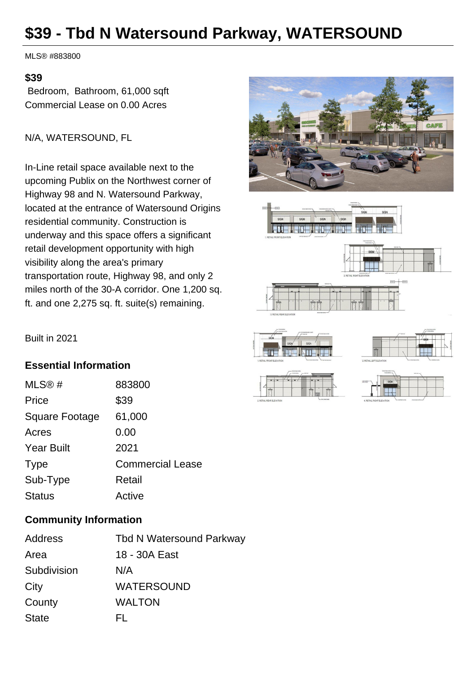# **\$39 - Tbd N Watersound Parkway, WATERSOUND**

MLS® #883800

#### **\$39**

 Bedroom, Bathroom, 61,000 sqft Commercial Lease on 0.00 Acres

N/A, WATERSOUND, FL

In-Line retail space available next to the upcoming Publix on the Northwest corner of Highway 98 and N. Watersound Parkway, located at the entrance of Watersound Origins residential community. Construction is underway and this space offers a significant retail development opportunity with high visibility along the area's primary transportation route, Highway 98, and only 2 miles north of the 30-A corridor. One 1,200 sq. ft. and one 2,275 sq. ft. suite(s) remaining.









|             | www.concenter.com<br>concentration and | and of -                                                                    |
|-------------|----------------------------------------|-----------------------------------------------------------------------------|
| $rac{1}{2}$ | SIGN                                   | processes and put in contemporary and contemporary and process and personal |
|             |                                        |                                                                             |
|             |                                        |                                                                             |

Built in 2021

### **Essential Information**

| MLS@#             | 883800                  |
|-------------------|-------------------------|
| Price             | \$39                    |
| Square Footage    | 61,000                  |
| Acres             | 0.00                    |
| <b>Year Built</b> | 2021                    |
| <b>Type</b>       | <b>Commercial Lease</b> |
| Sub-Type          | Retail                  |
| <b>Status</b>     | Active                  |

## **Community Information**

| Address      | <b>Tbd N Watersound Parkway</b> |
|--------------|---------------------------------|
| Area         | 18 - 30A East                   |
| Subdivision  | N/A                             |
| City         | <b>WATERSOUND</b>               |
| County       | WALTON                          |
| <b>State</b> | EL.                             |